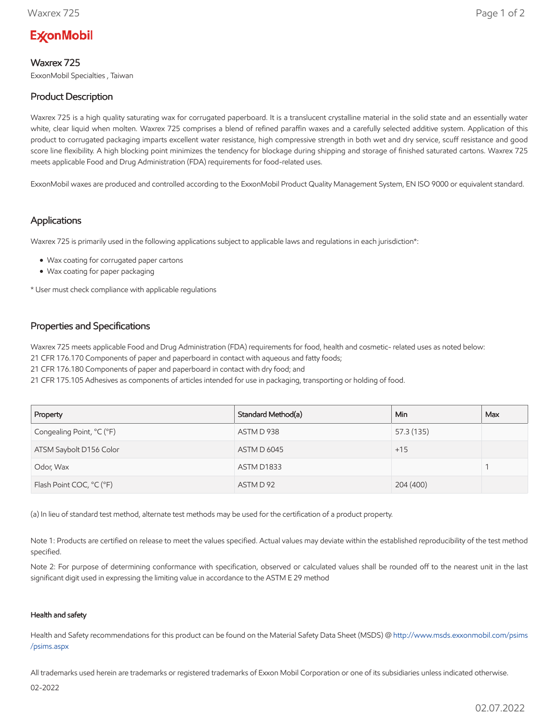# **ExconMobil**

## Waxrex 725

ExxonMobil Specialties , Taiwan

## Product Description

Waxrex 725 is a high quality saturating wax for corrugated paperboard. It is a translucent crystalline material in the solid state and an essentially water white, clear liquid when molten. Waxrex 725 comprises a blend of refined paraffin waxes and a carefully selected additive system. Application of this product to corrugated packaging imparts excellent water resistance, high compressive strength in both wet and dry service, scuff resistance and good score line flexibility. A high blocking point minimizes the tendency for blockage during shipping and storage of finished saturated cartons. Waxrex 725 meets applicable Food and Drug Administration (FDA) requirements for food-related uses.

ExxonMobil waxes are produced and controlled according to the ExxonMobil Product Quality Management System, EN ISO 9000 or equivalent standard.

### Applications

Waxrex 725 is primarily used in the following applications subject to applicable laws and regulations in each jurisdiction\*:

- Wax coating for corrugated paper cartons
- Wax coating for paper packaging

\* User must check compliance with applicable regulations

### Properties and Specifications

Waxrex 725 meets applicable Food and Drug Administration (FDA) requirements for food, health and cosmetic- related uses as noted below:

21 CFR 176.170 Components of paper and paperboard in contact with aqueous and fatty foods;

21 CFR 176.180 Components of paper and paperboard in contact with dry food; and

21 CFR 175.105 Adhesives as components of articles intended for use in packaging, transporting or holding of food.

| Property                  | Standard Method(a) | Min.       | Max |
|---------------------------|--------------------|------------|-----|
| Congealing Point, °C (°F) | ASTM D 938         | 57.3 (135) |     |
| ATSM Saybolt D156 Color   | <b>ASTM D 6045</b> | $+15$      |     |
| Odor, Wax                 | ASTM D1833         |            |     |
| Flash Point COC, °C (°F)  | ASTM D 92          | 204 (400)  |     |

(a) In lieu of standard test method, alternate test methods may be used for the certification of a product property.

Note 1: Products are certified on release to meet the values specified. Actual values may deviate within the established reproducibility of the test method specified.

Note 2: For purpose of determining conformance with specification, observed or calculated values shall be rounded off to the nearest unit in the last significant digit used in expressing the limiting value in accordance to the ASTM E 29 method

#### Health and safety

Health and Safety recommendations for this product can be found on the Material Safety Data Sheet (MSDS) @ [http://www.msds.exxonmobil.com/psims](http://www.msds.exxonmobil.com/psims/psims.aspx) /psims.aspx

All trademarks used herein are trademarks or registered trademarks of Exxon Mobil Corporation or one of its subsidiaries unless indicated otherwise.